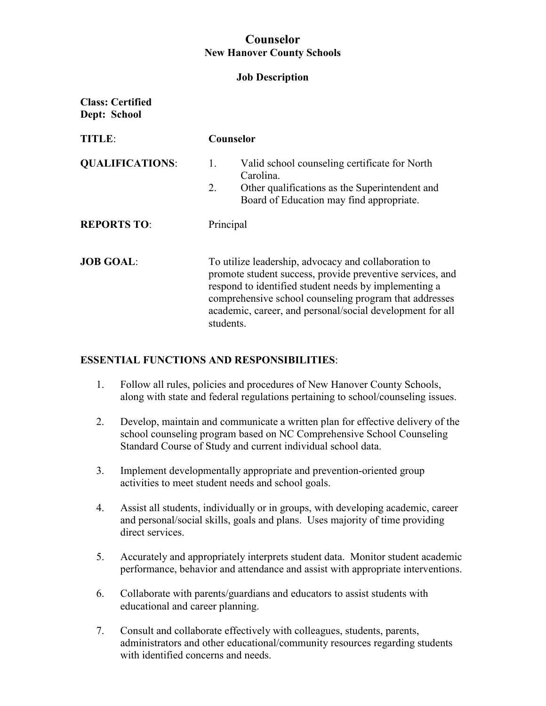# **Counselor New Hanover County Schools**

#### **Job Description**

**Class: Certified Dept: School** 

| <b>TITLE</b>           | Counselor                                                                                                                                                                                                                                                                                                      |  |
|------------------------|----------------------------------------------------------------------------------------------------------------------------------------------------------------------------------------------------------------------------------------------------------------------------------------------------------------|--|
| <b>QUALIFICATIONS:</b> | Valid school counseling certificate for North<br>1.<br>Carolina.<br>Other qualifications as the Superintendent and<br>2.<br>Board of Education may find appropriate.                                                                                                                                           |  |
| <b>REPORTS TO:</b>     | Principal                                                                                                                                                                                                                                                                                                      |  |
| <b>JOB GOAL:</b>       | To utilize leadership, advocacy and collaboration to<br>promote student success, provide preventive services, and<br>respond to identified student needs by implementing a<br>comprehensive school counseling program that addresses<br>academic, career, and personal/social development for all<br>students. |  |

### **ESSENTIAL FUNCTIONS AND RESPONSIBILITIES**:

- 1. Follow all rules, policies and procedures of New Hanover County Schools, along with state and federal regulations pertaining to school/counseling issues.
- 2. Develop, maintain and communicate a written plan for effective delivery of the school counseling program based on NC Comprehensive School Counseling Standard Course of Study and current individual school data.
- 3. Implement developmentally appropriate and prevention-oriented group activities to meet student needs and school goals.
- 4. Assist all students, individually or in groups, with developing academic, career and personal/social skills, goals and plans. Uses majority of time providing direct services.
- 5. Accurately and appropriately interprets student data. Monitor student academic performance, behavior and attendance and assist with appropriate interventions.
- 6. Collaborate with parents/guardians and educators to assist students with educational and career planning.
- 7. Consult and collaborate effectively with colleagues, students, parents, administrators and other educational/community resources regarding students with identified concerns and needs.